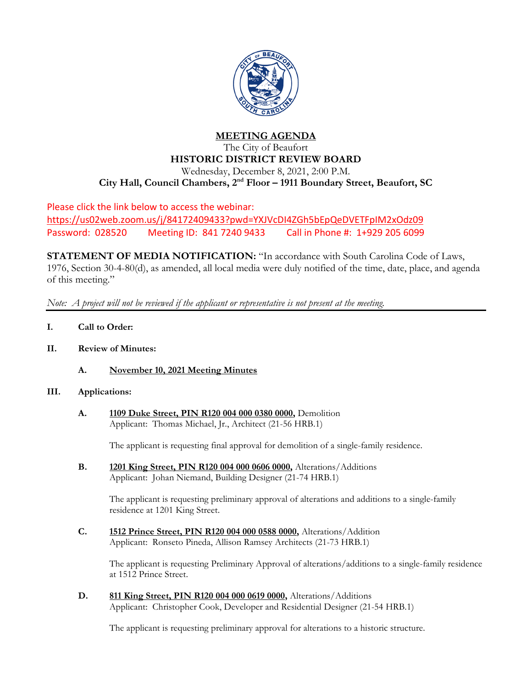

#### **MEETING AGENDA** The City of Beaufort

# **HISTORIC DISTRICT REVIEW BOARD** Wednesday, December 8, 2021, 2:00 P.M. **City Hall, Council Chambers, 2nd Floor – 1911 Boundary Street, Beaufort, SC**

Please click the link below to access the webinar: <https://us02web.zoom.us/j/84172409433?pwd=YXJVcDI4ZGh5bEpQeDVETFpIM2xOdz09> Password: 028520 Meeting ID: 841 7240 9433 Call in Phone #: 1+929 205 6099

**STATEMENT OF MEDIA NOTIFICATION:** "In accordance with South Carolina Code of Laws, 1976, Section 30-4-80(d), as amended, all local media were duly notified of the time, date, place, and agenda of this meeting."

*Note: A project will not be reviewed if the applicant or representative is not present at the meeting.*

- **I. Call to Order:**
- **II. Review of Minutes:**
	- **A. November 10, 2021 Meeting Minutes**

## **III. Applications:**

**A. 1109 Duke Street, PIN R120 004 000 0380 0000,** Demolition Applicant: Thomas Michael, Jr., Architect (21-56 HRB.1)

The applicant is requesting final approval for demolition of a single-family residence.

**B. 1201 King Street, PIN R120 004 000 0606 0000,** Alterations/Additions Applicant: Johan Niemand, Building Designer (21-74 HRB.1)

> The applicant is requesting preliminary approval of alterations and additions to a single-family residence at 1201 King Street.

**C. 1512 Prince Street, PIN R120 004 000 0588 0000,** Alterations/Addition Applicant: Ronseto Pineda, Allison Ramsey Architects (21-73 HRB.1)

> The applicant is requesting Preliminary Approval of alterations/additions to a single-family residence at 1512 Prince Street.

**D. 811 King Street, PIN R120 004 000 0619 0000,** Alterations/Additions Applicant: Christopher Cook, Developer and Residential Designer (21-54 HRB.1)

The applicant is requesting preliminary approval for alterations to a historic structure.